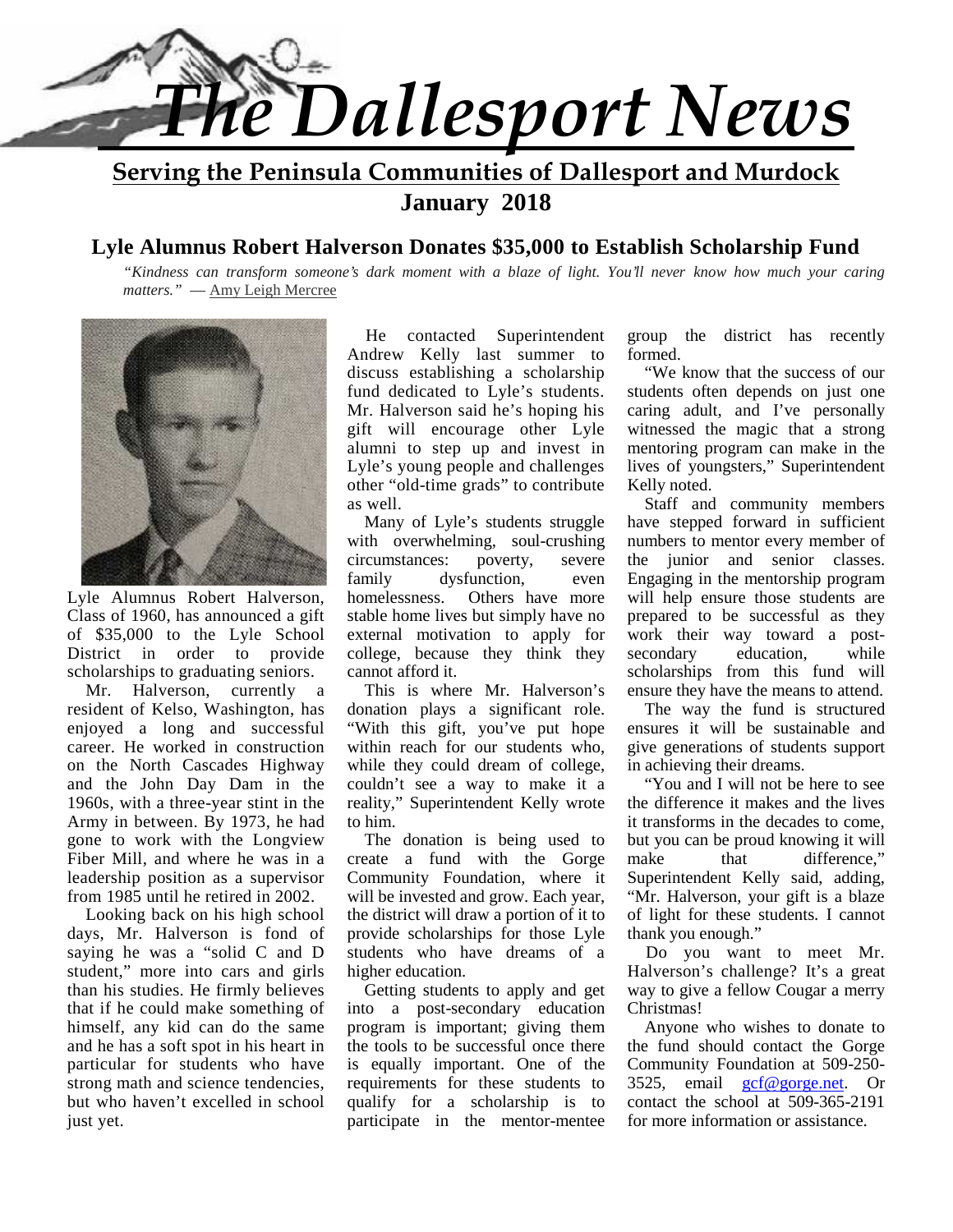

**Serving the Peninsula Communities of Dallesport and Murdock January 2018**

#### **Lyle Alumnus Robert Halverson Donates \$35,000 to Establish Scholarship Fund**

*"Kindness can transform someone's dark moment with a blaze of light. You'll never know how much your caring matters."* ― Amy Leigh Mercree



Lyle Alumnus Robert Halverson, homelessness. Class of 1960, has announced a gift of \$35,000 to the Lyle School District in order to provide scholarships to graduating seniors.

 Mr. Halverson, currently a resident of Kelso, Washington, has enjoyed a long and successful career. He worked in construction on the North Cascades Highway and the John Day Dam in the 1960s, with a three-year stint in the Army in between. By 1973, he had gone to work with the Longview Fiber Mill, and where he was in a leadership position as a supervisor from 1985 until he retired in 2002.

 Looking back on his high school days, Mr. Halverson is fond of saying he was a "solid C and D student," more into cars and girls than his studies. He firmly believes that if he could make something of himself, any kid can do the same and he has a soft spot in his heart in particular for students who have strong math and science tendencies, but who haven't excelled in school just yet.

 He contacted Superintendent Andrew Kelly last summer to discuss establishing a scholarship fund dedicated to Lyle's students. Mr. Halverson said he's hoping his gift will encourage other Lyle alumni to step up and invest in Lyle's young people and challenges other "old-time grads" to contribute as well.

 Many of Lyle's students struggle with overwhelming, soul-crushing circumstances: poverty, severe family dysfunction, even Others have more stable home lives but simply have no external motivation to apply for college, because they think they cannot afford it.

This is where Mr. Halverson's donation plays a significant role. "With this gift, you've put hope within reach for our students who, while they could dream of college, couldn't see a way to make it a reality," Superintendent Kelly wrote to him.

 The donation is being used to create a fund with the Gorge Community Foundation, where it will be invested and grow. Each year, the district will draw a portion of it to provide scholarships for those Lyle students who have dreams of a higher education.

Getting students to apply and get into a post-secondary education program is important; giving them the tools to be successful once there is equally important. One of the requirements for these students to qualify for a scholarship is to participate in the mentor-mentee group the district has recently formed.

 "We know that the success of our students often depends on just one caring adult, and I've personally witnessed the magic that a strong mentoring program can make in the lives of youngsters," Superintendent Kelly noted.

 Staff and community members have stepped forward in sufficient numbers to mentor every member of the junior and senior classes. Engaging in the mentorship program will help ensure those students are prepared to be successful as they work their way toward a post education, while scholarships from this fund will ensure they have the means to attend.

 The way the fund is structured ensures it will be sustainable and give generations of students support in achieving their dreams.

 "You and I will not be here to see the difference it makes and the lives it transforms in the decades to come, but you can be proud knowing it will that difference." Superintendent Kelly said, adding, "Mr. Halverson, your gift is a blaze of light for these students. I cannot thank you enough."

 Do you want to meet Mr. Halverson's challenge? It's a great way to give a fellow Cougar a merry Christmas!

 Anyone who wishes to donate to the fund should contact the Gorge Community Foundation at 509-250- 3525, email gcf@gorge.net. Or contact the school at 509-365-2191 for more information or assistance.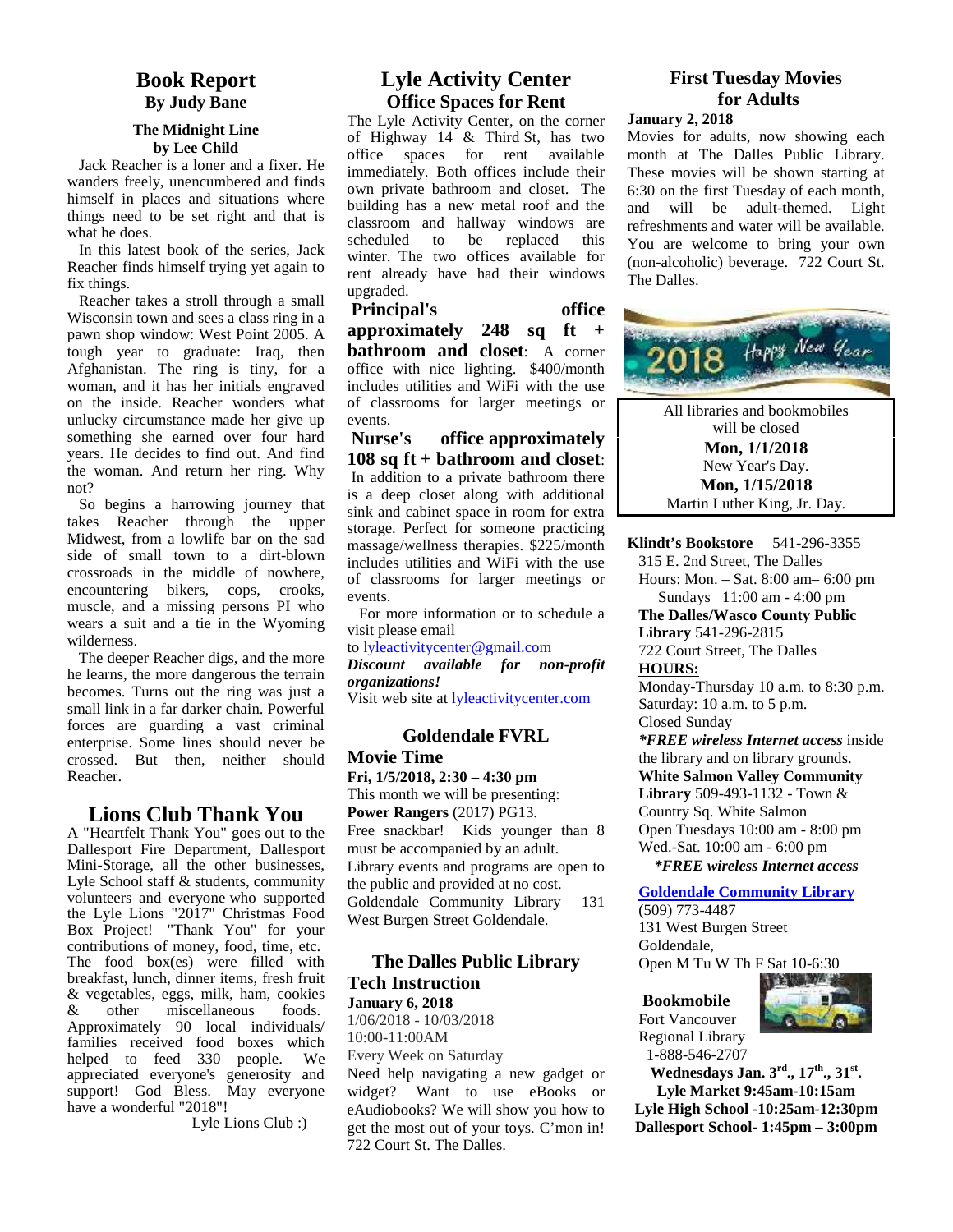#### **Book Report By Judy Bane**

#### **The Midnight Line by Lee Child**

Jack Reacher is a loner and a fixer. He wanders freely, unencumbered and finds himself in places and situations where things need to be set right and that is what he does.

In this latest book of the series, Jack Reacher finds himself trying yet again to fix things.

Reacher takes a stroll through a small Wisconsin town and sees a class ring in a pawn shop window: West Point 2005. A tough year to graduate: Iraq, then Afghanistan. The ring is tiny, for a woman, and it has her initials engraved on the inside. Reacher wonders what unlucky circumstance made her give up something she earned over four hard Nurse's years. He decides to find out. And find the woman. And return her ring. Why not?

So begins a harrowing journey that takes Reacher through the upper Midwest, from a lowlife bar on the sad side of small town to a dirt-blown crossroads in the middle of nowhere, encountering bikers, cops, crooks, muscle, and a missing persons PI who wears a suit and a tie in the Wyoming wilderness.

The deeper Reacher digs, and the more he learns, the more dangerous the terrain becomes. Turns out the ring was just a small link in a far darker chain. Powerful forces are guarding a vast criminal enterprise. Some lines should never be crossed. But then, neither should Reacher.

#### **Lions Club Thank You**

A "Heartfelt Thank You" goes out to the Dallesport Fire Department, Dallesport Mini-Storage, all the other businesses, Lyle School staff & students, community volunteers and everyone who supported the Lyle Lions "2017" Christmas Food  $\overline{W}_{\text{est}}$ Box Project! "Thank You" for your contributions of money, food, time, etc. The food box(es) were filled with breakfast, lunch, dinner items, fresh fruit & vegetables, eggs, milk, ham, cookies & other miscellaneous foods. Approximately 90 local individuals/ families received food boxes which  $10:00$ helped to feed 330 people. We appreciated everyone's generosity and support! God Bless. May everyone widg have a wonderful "2018"!

Lyle Lions Club :)

#### **Lyle Activity Center Office Spaces for Rent**

The Lyle Activity Center, on the corner of Highway 14 & Third St, has two office spaces for rent available immediately. Both offices include their own private bathroom and closet. The building has a new metal roof and the and classroom and hallway windows are<br>scheduled to be replaced this scheduled to be replaced this winter. The two offices available for rent already have had their windows upgraded.

**Principal's office approximately 248 sq ft + bathroom and closet**: A corner office with nice lighting. \$400/month includes utilities and WiFi with the use of classrooms for larger meetings or events.

**office approximately 108 sq ft + bathroom and closet**: In addition to a private bathroom there is a deep closet along with additional sink and cabinet space in room for extra storage. Perfect for someone practicing massage/wellness therapies. \$225/month includes utilities and WiFi with the use of classrooms for larger meetings or events.

For more information or to schedule a visit please email

to lyleactivitycenter@gmail.com

*Discount available for non-profit organizations!* Visit web site at lyleactivitycenter.com

#### **Goldendale FVRL**

**Movie Time Fri, 1/5/2018, 2:30 – 4:30 pm** This month we will be presenting: **Power Rangers** (2017) PG13. Free snackbar! Kids younger than 8 must be accompanied by an adult. Library events and programs are open to the public and provided at no cost. Goldendale Community Library 131 West Burgen Street Goldendale.

#### **The Dalles Public Library Tech Instruction January 6, 2018**

1/06/2018 - 10/03/2018 10:00-11:00AM Every Week on Saturday Need help navigating a new gadget or widget? Want to use eBooks or eAudiobooks? We will show you how to get the most out of your toys. C'mon in! 722 Court St. The Dalles.

#### **First Tuesday Movies for Adults**

#### **January 2, 2018**

Movies for adults, now showing each month at The Dalles Public Library. These movies will be shown starting at 6:30 on the first Tuesday of each month, will be adult-themed. Light refreshments and water will be available. You are welcome to bring your own (non-alcoholic) beverage. 722 Court St. The Dalles.



315 E. 2nd Street, The Dalles Hours: Mon. – Sat. 8:00 am– 6:00 pm Sundays 11:00 am - 4:00 pm **The Dalles/Wasco County Public Library** 541-296-2815 722 Court Street, The Dalles **HOURS:** Monday-Thursday 10 a.m. to 8:30 p.m. Saturday: 10 a.m. to 5 p.m. Closed Sunday *\*FREE wireless Internet access* inside the library and on library grounds. **White Salmon Valley Community Library** 509-493-1132 - Town & Country Sq. White Salmon Open Tuesdays 10:00 am - 8:00 pm Wed.-Sat. 10:00 am - 6:00 pm

 *\*FREE wireless Internet access*

#### **Goldendale Community Library**

(509) 773-4487 131 West Burgen Street Goldendale, Open M Tu W Th F Sat 10-6:30

**Bookmobile** Fort Vancouver Regional Library 1-888-546-2707



**Wednesdays Jan. 3rd., 17th., 31st. Lyle Market 9:45am-10:15am Lyle High School -10:25am-12:30pm Dallesport School- 1:45pm – 3:00pm**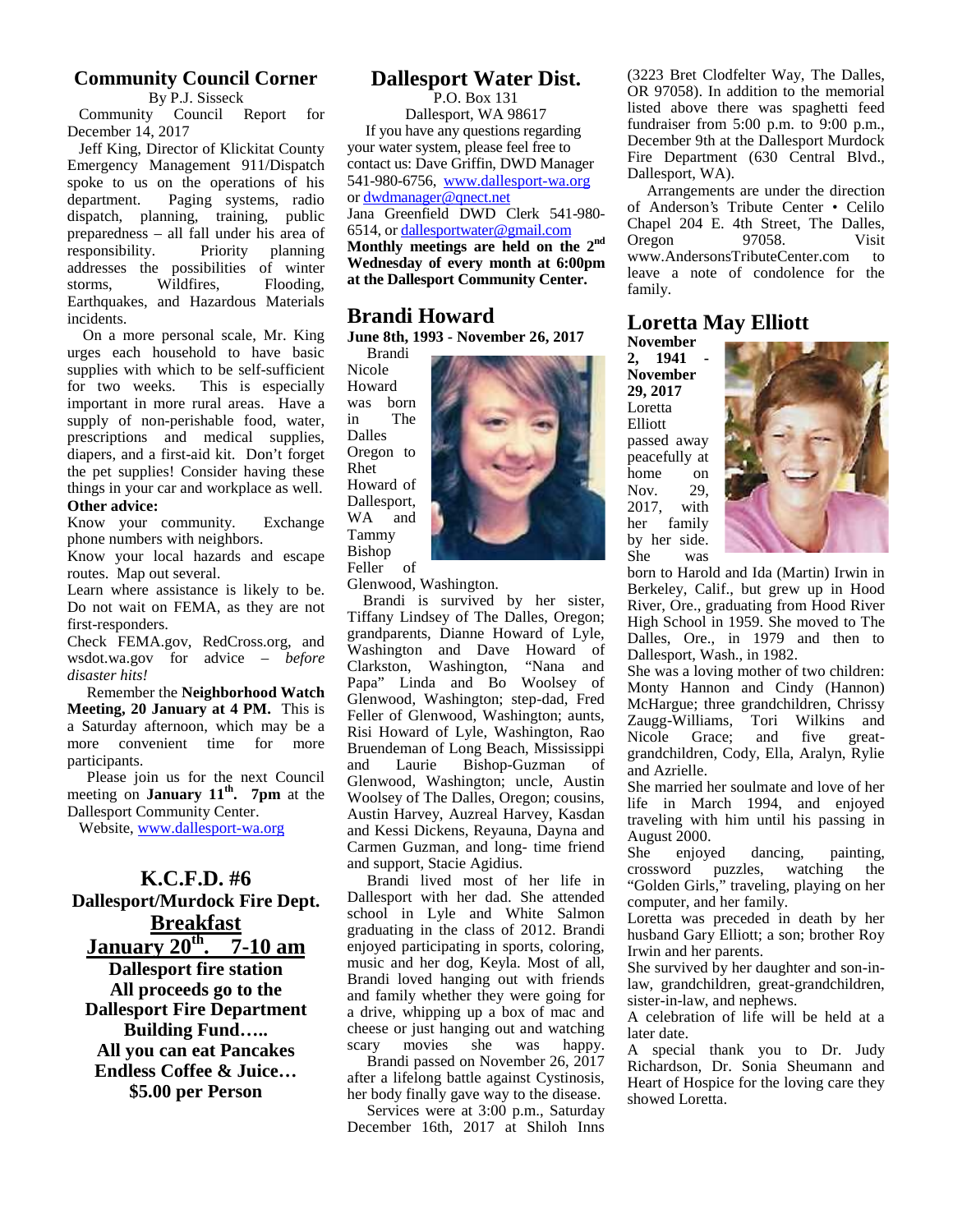#### **Community Council Corner**

By P.J. Sisseck Community Council Report for

December 14, 2017

Jeff King, Director of Klickitat County Emergency Management 911/Dispatch spoke to us on the operations of his department. Paging systems, radio dispatch, planning, training, public preparedness – all fall under his area of responsibility. Priority planning addresses the possibilities of winter<br>storms. Wildfires. Flooding. storms, Wildfires, Flooding, Earthquakes, and Hazardous Materials incidents.

On a more personal scale, Mr. King urges each household to have basic supplies with which to be self-sufficient<br>for two weeks. This is especially This is especially important in more rural areas. Have a was supply of non-perishable food, water, prescriptions and medical supplies, diapers, and a first-aid kit. Don't forget the pet supplies! Consider having these things in your car and workplace as well. **Other advice:**

Know your community. Exchange phone numbers with neighbors.

Know your local hazards and escape routes. Map out several.

Learn where assistance is likely to be. Do not wait on FEMA, as they are not first-responders.

Check FEMA.gov, RedCross.org, and wsdot.wa.gov for advice – *before disaster hits!*

Remember the **Neighborhood Watch Meeting, 20 January at 4 PM.** This is a Saturday afternoon, which may be a more convenient time for more participants.

 Please join us for the next Council meeting on **January 11th . 7pm** at the Dallesport Community Center.

Website, www.dallesport-wa.org

#### **K.C.F.D. #6 Dallesport/Murdock Fire Dept. Breakfast January 20th . 7-10 am Dallesport fire station All proceeds go to the Dallesport Fire Department Building Fund…..**

**All you can eat Pancakes Endless Coffee & Juice… \$5.00 per Person**

#### **Dallesport Water Dist.**

P.O. Box 131

Dallesport, WA 98617 If you have any questions regarding your water system, please feel free to contact us: Dave Griffin, DWD Manager 541-980-6756, www.dallesport-wa.org or dwdmanager@qnect.net Jana Greenfield DWD Clerk 541-980-

6514, or dallesportwater@gmail.com **Monthly meetings are held on the 2nd Wednesday of every month at 6:00pm at the Dallesport Community Center.**

#### **Brandi Howard**

**June 8th, 1993 - November 26, 2017**

Brandi Nicole Howard was born The Dalles Oregon to Rhet Howard of Dallesport, WA and Tammy Bishop Feller of

Glenwood, Washington.

Brandi is survived by her sister, Tiffany Lindsey of The Dalles, Oregon; grandparents, Dianne Howard of Lyle, Washington and Dave Howard of<br>Clarkston, Washington, "Nana and Clarkston, Washington, Papa" Linda and Bo Woolsey of Glenwood, Washington; step-dad, Fred Feller of Glenwood, Washington; aunts, Risi Howard of Lyle, Washington, Rao Bruendeman of Long Beach, Mississippi<br>and Laurie Bishop-Guzman of Bishop-Guzman of Glenwood, Washington; uncle, Austin Woolsey of The Dalles, Oregon; cousins, Austin Harvey, Auzreal Harvey, Kasdan and Kessi Dickens, Reyauna, Dayna and Carmen Guzman, and long- time friend She and support, Stacie Agidius.

Brandi lived most of her life in Dallesport with her dad. She attended school in Lyle and White Salmon graduating in the class of 2012. Brandi enjoyed participating in sports, coloring, music and her dog, Keyla. Most of all, Brandi loved hanging out with friends and family whether they were going for a drive, whipping up a box of mac and cheese or just hanging out and watching<br>scary movies she was happy. movies

Brandi passed on November 26, 2017 after a lifelong battle against Cystinosis, her body finally gave way to the disease.

Services were at 3:00 p.m., Saturday December 16th, 2017 at Shiloh Inns (3223 Bret Clodfelter Way, The Dalles, OR 97058). In addition to the memorial listed above there was spaghetti feed fundraiser from 5:00 p.m. to 9:00 p.m., December 9th at the Dallesport Murdock Fire Department (630 Central Blvd., Dallesport, WA).

Arrangements are under the direction of Anderson's Tribute Center • Celilo Chapel 204 E. 4th Street, The Dalles,<br>Oregon 97058. Visit Oregon www.AndersonsTributeCenter.com to leave a note of condolence for the family.

#### **Loretta May Elliott**

**November 2, 1941 - November 29, 2017** Loretta Elliott passed away peacefully at home on<br>Nov. 29, Nov. 2017, with her family by her side. She was



born to Harold and Ida (Martin) Irwin in Berkeley, Calif., but grew up in Hood River, Ore., graduating from Hood River High School in 1959. She moved to The Dalles, Ore., in 1979 and then to Dallesport, Wash., in 1982.

She was a loving mother of two children: Monty Hannon and Cindy (Hannon) McHargue; three grandchildren, Chrissy Zaugg-Williams, Tori Wilkins and Nicole Grace; and five great grandchildren, Cody, Ella, Aralyn, Rylie and Azrielle.

She married her soulmate and love of her life in March 1994, and enjoyed traveling with him until his passing in August 2000.

enjoyed dancing, painting, crossword puzzles, watching the "Golden Girls," traveling, playing on her computer, and her family.

Loretta was preceded in death by her husband Gary Elliott; a son; brother Roy Irwin and her parents.

She survived by her daughter and son-inlaw, grandchildren, great-grandchildren, sister-in-law, and nephews.

A celebration of life will be held at a later date.

A special thank you to Dr. Judy Richardson, Dr. Sonia Sheumann and Heart of Hospice for the loving care they showed Loretta.

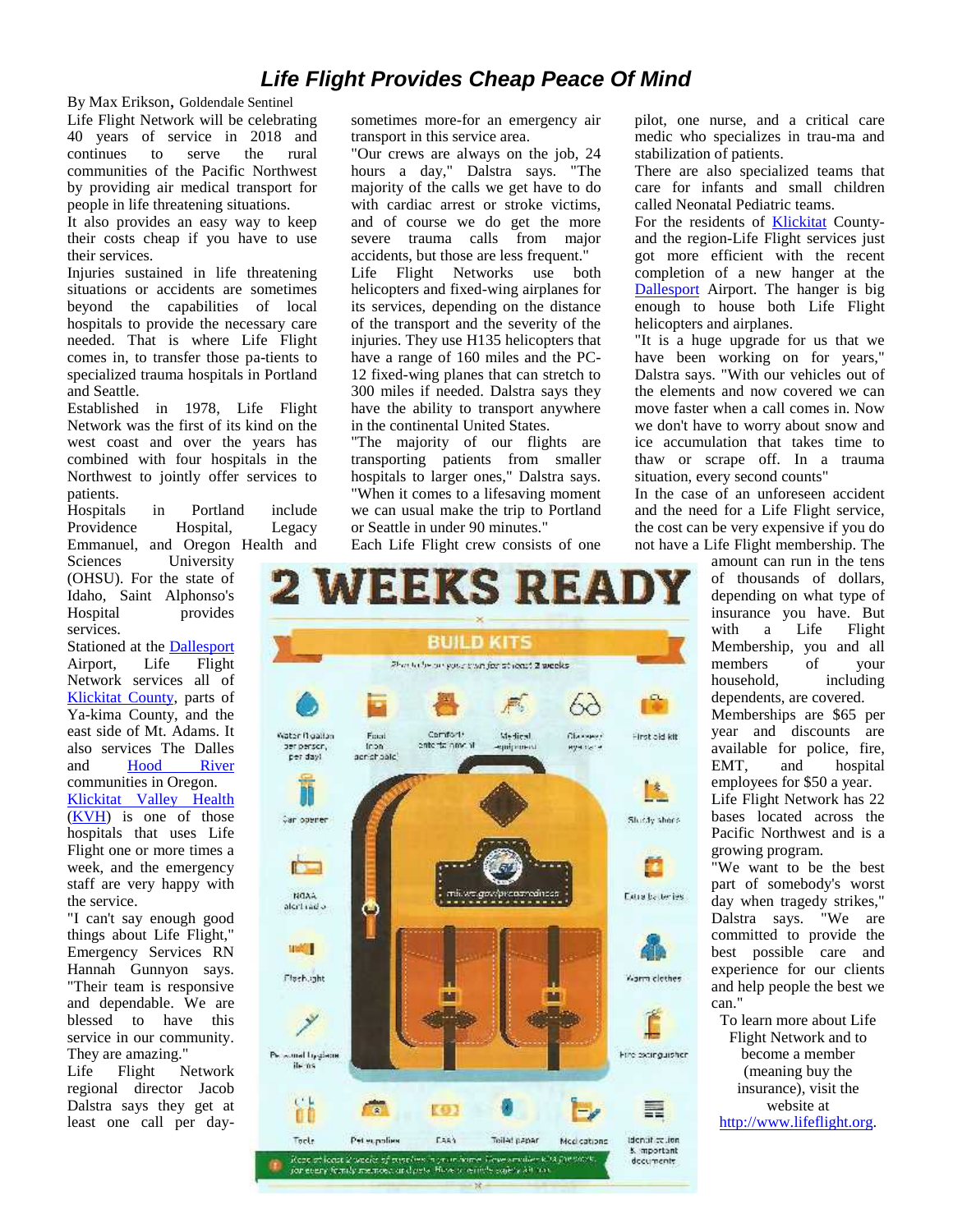#### *Life Flight Provides Cheap Peace Of Mind*

By Max Erikson, Goldendale Sentinel Life Flight Network will be celebrating 40 years of service in 2018 and continues to serve the rural communities of the Pacific Northwest by providing air medical transport for people in life threatening situations.

It also provides an easy way to keep their costs cheap if you have to use their services.

Injuries sustained in life threatening situations or accidents are sometimes beyond the capabilities of local hospitals to provide the necessary care needed. That is where Life Flight comes in, to transfer those pa-tients to specialized trauma hospitals in Portland and Seattle.

Established in 1978, Life Flight Network was the first of its kind on the west coast and over the years has combined with four hospitals in the Northwest to jointly offer services to patients.

Hospitals in Portland include Providence Hospital, Legacy Emmanuel, and Oregon Health and

Sciences University (OHSU). For the state of Idaho, Saint Alphonso's Hospital provides services.

Stationed at the Dallesport Airport, Life Flight Network services all of Klickitat County, parts of Ya-kima County, and the east side of Mt. Adams. It also services The Dalles and Hood River communities in Oregon. Klickitat Valley Health (KVH) is one of those hospitals that uses Life Flight one or more times a week, and the emergency staff are very happy with the service.

"I can't say enough good things about Life Flight," Emergency Services RN Hannah Gunnyon says. Their team is responsive and dependable. We are blessed to have this service in our community. They are amazing."

Life Flight Network regional director Jacob Dalstra says they get at least one call per daysometimes more-for an emergency air transport in this service area.

"Our crews are always on the job, 24 hours a day," Dalstra says. "The majority of the calls we get have to do with cardiac arrest or stroke victims, and of course we do get the more severe trauma calls from major accidents, but those are less frequent." Life Flight Networks use both helicopters and fixed-wing airplanes for its services, depending on the distance of the transport and the severity of the injuries. They use H135 helicopters that have a range of 160 miles and the PC- 12 fixed-wing planes that can stretch to 300 miles if needed. Dalstra says they have the ability to transport anywhere in the continental United States.

"The majority of our flights are transporting patients from smaller hospitals to larger ones," Dalstra says. "When it comes to a lifesaving moment we can usual make the trip to Portland or Seattle in under 90 minutes." Each Life Flight crew consists of one

**EEKS REA BUILD KITS** Shorteche our your trian for at loast 2 weeks. q, bд Comitants Water Nigation Medical. Faut Сбанный First old kit. in on in pone to the other ser person, eye sare պակնա acristicate) per day) Гŧ. m Shidly short-Data by tenies alcritiad o n Warra clothes mal trygiana Fire extinguisher ile ns έř ≣  $[6]$  $\bullet$ òÒ Pet expolies Tool: **Fash** Toilad panar Medications identified inn K mportant Repeat local 2 weeks of pushing n yn in hame. Hewe arrailer kild fan 2008. documents for every femily memore and pets How is writtle experience

 $-96 -$ 

pilot, one nurse, and a critical care medic who specializes in trau-ma and stabilization of patients.

There are also specialized teams that care for infants and small children called Neonatal Pediatric teams.

For the residents of Klickitat County and the region-Life Flight services just got more efficient with the recent completion of a new hanger at the Dallesport Airport. The hanger is big enough to house both Life Flight helicopters and airplanes.

"It is a huge upgrade for us that we have been working on for years," Dalstra says. "With our vehicles out of the elements and now covered we can move faster when a call comes in. Now we don't have to worry about snow and ice accumulation that takes time to thaw or scrape off. In a trauma situation, every second counts"

In the case of an unforeseen accident and the need for a Life Flight service, the cost can be very expensive if you do not have a Life Flight membership. The

> amount can run in the tens of thousands of dollars, depending on what type of insurance you have. But with a Life Flight Membership, you and all members of your household, including dependents, are covered. Memberships are \$65 per year and discounts are available for police, fire, EMT, and hospital employees for \$50 a year. Life Flight Network has 22 bases located across the Pacific Northwest and is a growing program.

"We want to be the best part of somebody's worst day when tragedy strikes," Dalstra says. "We are committed to provide the best possible care and experience for our clients and help people the best we can."

To learn more about Life Flight Network and to become a member (meaning buy the insurance), visit the website at http://www.lifeflight.org.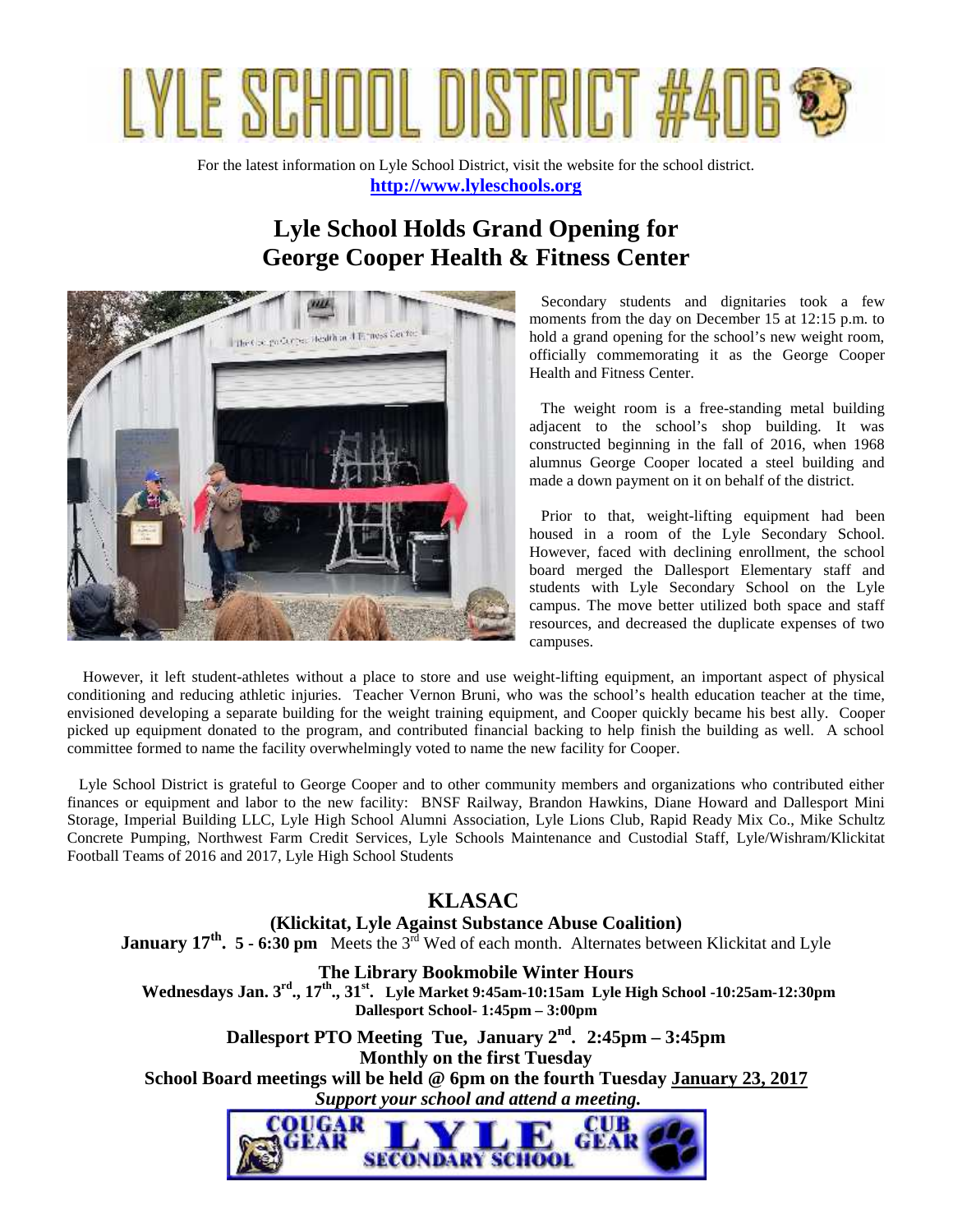# YLE SCHOOL DISTRIC

For the latest information on Lyle School District, visit the website for the school district. **http://www.lyleschools.org**

### **Lyle School Holds Grand Opening for George Cooper Health & Fitness Center**



Secondary students and dignitaries took a few moments from the day on December 15 at 12:15 p.m. to hold a grand opening for the school's new weight room, officially commemorating it as the George Cooper Health and Fitness Center.

The weight room is a free-standing metal building adjacent to the school's shop building. It was constructed beginning in the fall of 2016, when 1968 alumnus George Cooper located a steel building and made a down payment on it on behalf of the district.

Prior to that, weight-lifting equipment had been housed in a room of the Lyle Secondary School. However, faced with declining enrollment, the school board merged the Dallesport Elementary staff and students with Lyle Secondary School on the Lyle campus. The move better utilized both space and staff resources, and decreased the duplicate expenses of two campuses.

However, it left student-athletes without a place to store and use weight-lifting equipment, an important aspect of physical conditioning and reducing athletic injuries. Teacher Vernon Bruni, who was the school's health education teacher at the time, envisioned developing a separate building for the weight training equipment, and Cooper quickly became his best ally. Cooper picked up equipment donated to the program, and contributed financial backing to help finish the building as well. A school committee formed to name the facility overwhelmingly voted to name the new facility for Cooper.

Lyle School District is grateful to George Cooper and to other community members and organizations who contributed either finances or equipment and labor to the new facility: BNSF Railway, Brandon Hawkins, Diane Howard and Dallesport Mini Storage, Imperial Building LLC, Lyle High School Alumni Association, Lyle Lions Club, Rapid Ready Mix Co., Mike Schultz Concrete Pumping, Northwest Farm Credit Services, Lyle Schools Maintenance and Custodial Staff, Lyle/Wishram/Klickitat Football Teams of 2016 and 2017, Lyle High School Students

#### **KLASAC**

**(Klickitat, Lyle Against Substance Abuse Coalition)**

**January 17<sup>th</sup>. 5 - 6:30 pm** Meets the 3<sup>rd</sup> Wed of each month. Alternates between Klickitat and Lyle

#### **The Library Bookmobile Winter Hours**

**Wednesdays Jan. 3rd., 17th., 31st. Lyle Market 9:45am-10:15am Lyle High School -10:25am-12:30pm Dallesport School- 1:45pm – 3:00pm**

**Dallesport PTO Meeting Tue, January 2nd . 2:45pm – 3:45pm Monthly on the first Tuesday**

**School Board meetings will be held @ 6pm on the fourth Tuesday January 23, 2017**  *Support your school and attend a meeting.*

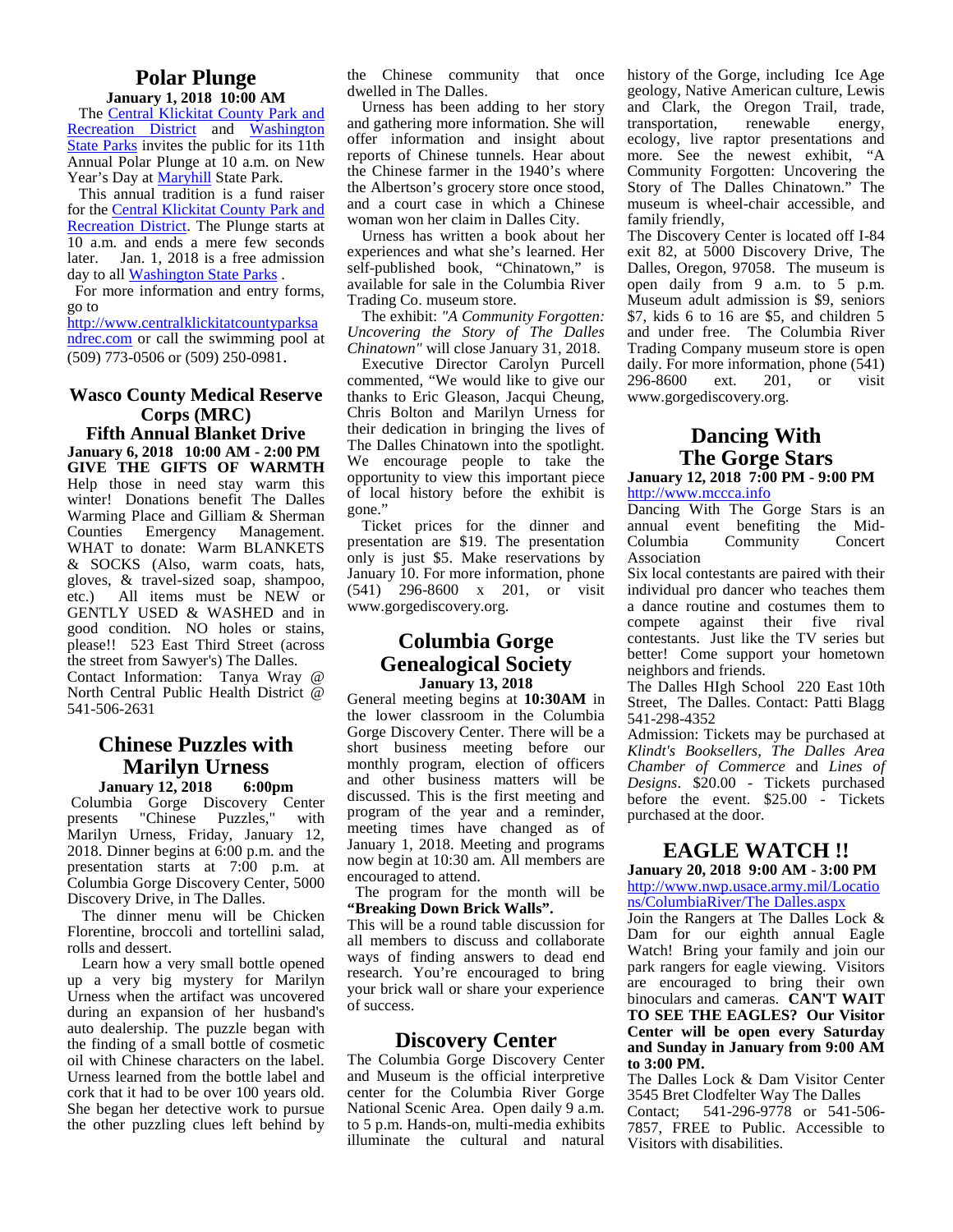#### **Polar Plunge**

**January 1, 2018 10:00 AM** The Central Klickitat County Park and Recreation District and Washington State Parks invites the public for its 11th Annual Polar Plunge at 10 a.m. on New Year's Day at Maryhill State Park.

This annual tradition is a fund raiser for the Central Klickitat County Park and Recreation District. The Plunge starts at 10 a.m. and ends a mere few seconds later. Jan. 1, 2018 is a free admission day to all Washington State Parks .

For more information and entry forms, go to

http://www.centralklickitatcountyparksa ndrec.com or call the swimming pool at (509) 773-0506 or (509) 250-0981.

#### **Wasco County Medical Reserve Corps (MRC)**

**Fifth Annual Blanket Drive January 6, 2018 10:00 AM - 2:00 PM GIVE THE GIFTS OF WARMTH** Help those in need stay warm this  $_{.6}^{\mathrm{opp}}$ winter! Donations benefit The Dalles  $\frac{01}{2}$ Warming Place and Gilliam & Sherman Counties Emergency Management. WHAT to donate: Warm BLANKETS & SOCKS (Also, warm coats, hats, gloves, & travel-sized soap, shampoo, etc.) All items must be NEW or GENTLY USED & WASHED and in good condition. NO holes or stains, please!! 523 East Third Street (across the street from Sawyer's) The Dalles. Contact Information: Tanya Wray @ North Central Public Health District @ 541-506-2631

#### **Chinese Puzzles with Marilyn Urness**

**January 12, 2018 6:00pm** Columbia Gorge Discovery Center presents "Chinese Puzzles," with progr Marilyn Urness, Friday, January 12, 2018. Dinner begins at 6:00 p.m. and the presentation starts at 7:00 p.m. at Columbia Gorge Discovery Center, 5000 Discovery Drive, in The Dalles.

The dinner menu will be Chicken Florentine, broccoli and tortellini salad, rolls and dessert.

Learn how a very small bottle opened up a very big mystery for Marilyn Urness when the artifact was uncovered during an expansion of her husband's auto dealership. The puzzle began with the finding of a small bottle of cosmetic oil with Chinese characters on the label. Urness learned from the bottle label and cork that it had to be over 100 years old. She began her detective work to pursue the other puzzling clues left behind by

the Chinese community that once dwelled in The Dalles.

Urness has been adding to her story and gathering more information. She will offer information and insight about reports of Chinese tunnels. Hear about the Chinese farmer in the 1940's where the Albertson's grocery store once stood, and a court case in which a Chinese woman won her claim in Dalles City.

Urness has written a book about her experiences and what she's learned. Her self-published book, "Chinatown," is available for sale in the Columbia River Trading Co. museum store.

The exhibit: *"A Community Forgotten: Uncovering the Story of The Dalles Chinatown"* will close January 31, 2018.

Executive Director Carolyn Purcell commented, "We would like to give our thanks to Eric Gleason, Jacqui Cheung, Chris Bolton and Marilyn Urness for their dedication in bringing the lives of The Dalles Chinatown into the spotlight. We encourage people to take the opportunity to view this important piece of local history before the exhibit is gone."

Ticket prices for the dinner and presentation are \$19. The presentation only is just \$5. Make reservations by January 10. For more information, phone (541) 296-8600 x 201, or visit www.gorgediscovery.org.

#### **Columbia Gorge Genealogical Society January 13, 2018**

General meeting begins at **10:30AM** in the lower classroom in the Columbia Gorge Discovery Center. There will be a short business meeting before our monthly program, election of officers and other business matters will be discussed. This is the first meeting and program of the year and a reminder, meeting times have changed as of January 1, 2018. Meeting and programs now begin at 10:30 am. All members are encouraged to attend.

The program for the month will be **"Breaking Down Brick Walls".**

This will be a round table discussion for all members to discuss and collaborate ways of finding answers to dead end research. You're encouraged to bring your brick wall or share your experience of success.

#### **Discovery Center**

The Columbia Gorge Discovery Center and Museum is the official interpretive center for the Columbia River Gorge National Scenic Area. Open daily 9 a.m. Contact; to 5 p.m. Hands-on, multi-media exhibits illuminate the cultural and natural

history of the Gorge, including Ice Age geology, Native American culture, Lewis and Clark, the Oregon Trail, trade, transportation, renewable energy, ecology, live raptor presentations and more. See the newest exhibit, "A Community Forgotten: Uncovering the Story of The Dalles Chinatown." The museum is wheel-chair accessible, and family friendly,

The Discovery Center is located off I-84 exit 82, at 5000 Discovery Drive, The Dalles, Oregon, 97058. The museum is open daily from 9 a.m. to 5 p.m. Museum adult admission is \$9, seniors \$7, kids 6 to 16 are \$5, and children 5 and under free. The Columbia River Trading Company museum store is open daily. For more information, phone (541) 296-8600 ext. 201, or visit www.gorgediscovery.org.

#### **Dancing With The Gorge Stars January 12, 2018 7:00 PM - 9:00 PM**

http://www.mccca.info

Dancing With The Gorge Stars is an annual event benefiting the Mid- Columbia Community Concert Association

Six local contestants are paired with their individual pro dancer who teaches them a dance routine and costumes them to compete against their five rival contestants. Just like the TV series but better! Come support your hometown neighbors and friends.

The Dalles HIgh School 220 East 10th Street, The Dalles. Contact: Patti Blagg 541-298-4352

Admission: Tickets may be purchased at *Klindt's Booksellers*, *The Dalles Area Chamber of Commerce* and *Lines of Designs*. \$20.00 - Tickets purchased before the event. \$25.00 - Tickets purchased at the door.

#### **EAGLE WATCH !!**

#### **January 20, 2018 9:00 AM - 3:00 PM** http://www.nwp.usace.army.mil/Locatio ns/ColumbiaRiver/The Dalles.aspx

Join the Rangers at The Dalles Lock & Dam for our eighth annual Eagle Watch! Bring your family and join our park rangers for eagle viewing. Visitors are encouraged to bring their own binoculars and cameras. **CAN'T WAIT TO SEE THE EAGLES? Our Visitor Center will be open every Saturday and Sunday in January from 9:00 AM to 3:00 PM.**

The Dalles Lock & Dam Visitor Center 3545 Bret Clodfelter Way The Dalles 541-296-9778 or 541-506-7857, FREE to Public. Accessible to Visitors with disabilities.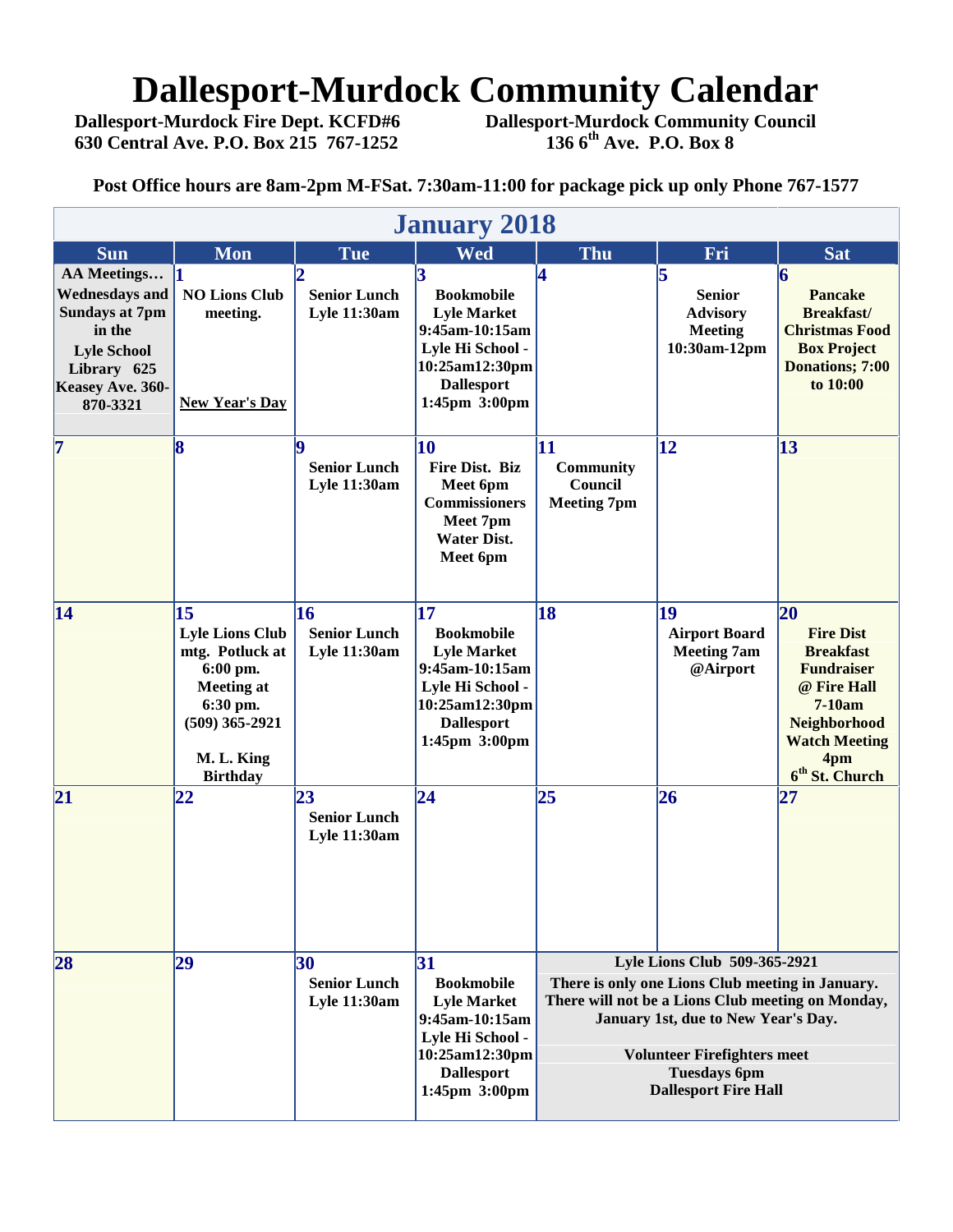## **Dallesport-Murdock Community Calendar**<br>Dallesport-Murdock Fire Dept. KCFD#6 Dallesport-Murdock Community Council

 **630 Central Ave. P.O. Box 215 767-1252 136 6th Ave. P.O. Box 8**

 **Dallesport-Murdock Fire Dept. KCFD#6 Dallesport-Murdock Community Council**

**Post Office hours are 8am-2pm M-FSat. 7:30am-11:00 for package pick up only Phone 767-1577**

|                                                                                                                                              | <b>January 2018</b>                                                                                                                               |                                                  |                                                                                                                                             |                                                                                                                                                                                                                                                                          |                                                                          |                                                                                                                                                                                |  |  |
|----------------------------------------------------------------------------------------------------------------------------------------------|---------------------------------------------------------------------------------------------------------------------------------------------------|--------------------------------------------------|---------------------------------------------------------------------------------------------------------------------------------------------|--------------------------------------------------------------------------------------------------------------------------------------------------------------------------------------------------------------------------------------------------------------------------|--------------------------------------------------------------------------|--------------------------------------------------------------------------------------------------------------------------------------------------------------------------------|--|--|
| <b>Sun</b>                                                                                                                                   | <b>Mon</b>                                                                                                                                        | <b>Tue</b>                                       | Wed                                                                                                                                         | Thu                                                                                                                                                                                                                                                                      | Fri                                                                      | <b>Sat</b>                                                                                                                                                                     |  |  |
| AA Meetings<br><b>Wednesdays and</b><br><b>Sundays at 7pm</b><br>in the<br><b>Lyle School</b><br>Library 625<br>Keasey Ave. 360-<br>870-3321 | <b>NO Lions Club</b><br>meeting.<br><b>New Year's Day</b>                                                                                         | <b>Senior Lunch</b><br><b>Lyle 11:30am</b>       | 3<br><b>Bookmobile</b><br><b>Lyle Market</b><br>9:45am-10:15am<br>Lyle Hi School -<br>10:25am12:30pm<br><b>Dallesport</b><br>1:45pm 3:00pm  | 4                                                                                                                                                                                                                                                                        | 15<br><b>Senior</b><br><b>Advisory</b><br><b>Meeting</b><br>10:30am-12pm | 6<br><b>Pancake</b><br><b>Breakfast/</b><br><b>Christmas Food</b><br><b>Box Project</b><br>Donations; 7:00<br>to 10:00                                                         |  |  |
| 7                                                                                                                                            | 8                                                                                                                                                 | lQ<br><b>Senior Lunch</b><br><b>Lyle 11:30am</b> | 10<br>Fire Dist. Biz<br>Meet 6pm<br><b>Commissioners</b><br>Meet 7pm<br><b>Water Dist.</b><br>Meet 6pm                                      | 11<br><b>Community</b><br>Council<br><b>Meeting 7pm</b>                                                                                                                                                                                                                  | $\mathbf{12}$                                                            | 13                                                                                                                                                                             |  |  |
| 14                                                                                                                                           | 15<br><b>Lyle Lions Club</b><br>mtg. Potluck at<br>6:00 pm.<br><b>Meeting at</b><br>6:30 pm.<br>$(509)$ 365-2921<br>M. L. King<br><b>Birthday</b> | 16<br><b>Senior Lunch</b><br><b>Lyle 11:30am</b> | 17<br><b>Bookmobile</b><br><b>Lyle Market</b><br>9:45am-10:15am<br>Lyle Hi School -<br>10:25am12:30pm<br><b>Dallesport</b><br>1:45pm 3:00pm | 18                                                                                                                                                                                                                                                                       | 19<br><b>Airport Board</b><br><b>Meeting 7am</b><br>@Airport             | 20<br><b>Fire Dist</b><br><b>Breakfast</b><br><b>Fundraiser</b><br>@ Fire Hall<br>$7-10am$<br><b>Neighborhood</b><br><b>Watch Meeting</b><br>4pm<br>6 <sup>th</sup> St. Church |  |  |
| 21                                                                                                                                           | 22                                                                                                                                                | 23<br><b>Senior Lunch</b><br>Lyle 11:30am        | $\overline{24}$                                                                                                                             | 25                                                                                                                                                                                                                                                                       | 26                                                                       | 27                                                                                                                                                                             |  |  |
| 28                                                                                                                                           | 29                                                                                                                                                | 30<br><b>Senior Lunch</b><br>Lyle 11:30am        | 31<br><b>Bookmobile</b><br><b>Lyle Market</b><br>9:45am-10:15am<br>Lyle Hi School -<br>10:25am12:30pm<br><b>Dallesport</b><br>1:45pm 3:00pm | Lyle Lions Club 509-365-2921<br>There is only one Lions Club meeting in January.<br>There will not be a Lions Club meeting on Monday,<br>January 1st, due to New Year's Day.<br><b>Volunteer Firefighters meet</b><br><b>Tuesdays 6pm</b><br><b>Dallesport Fire Hall</b> |                                                                          |                                                                                                                                                                                |  |  |